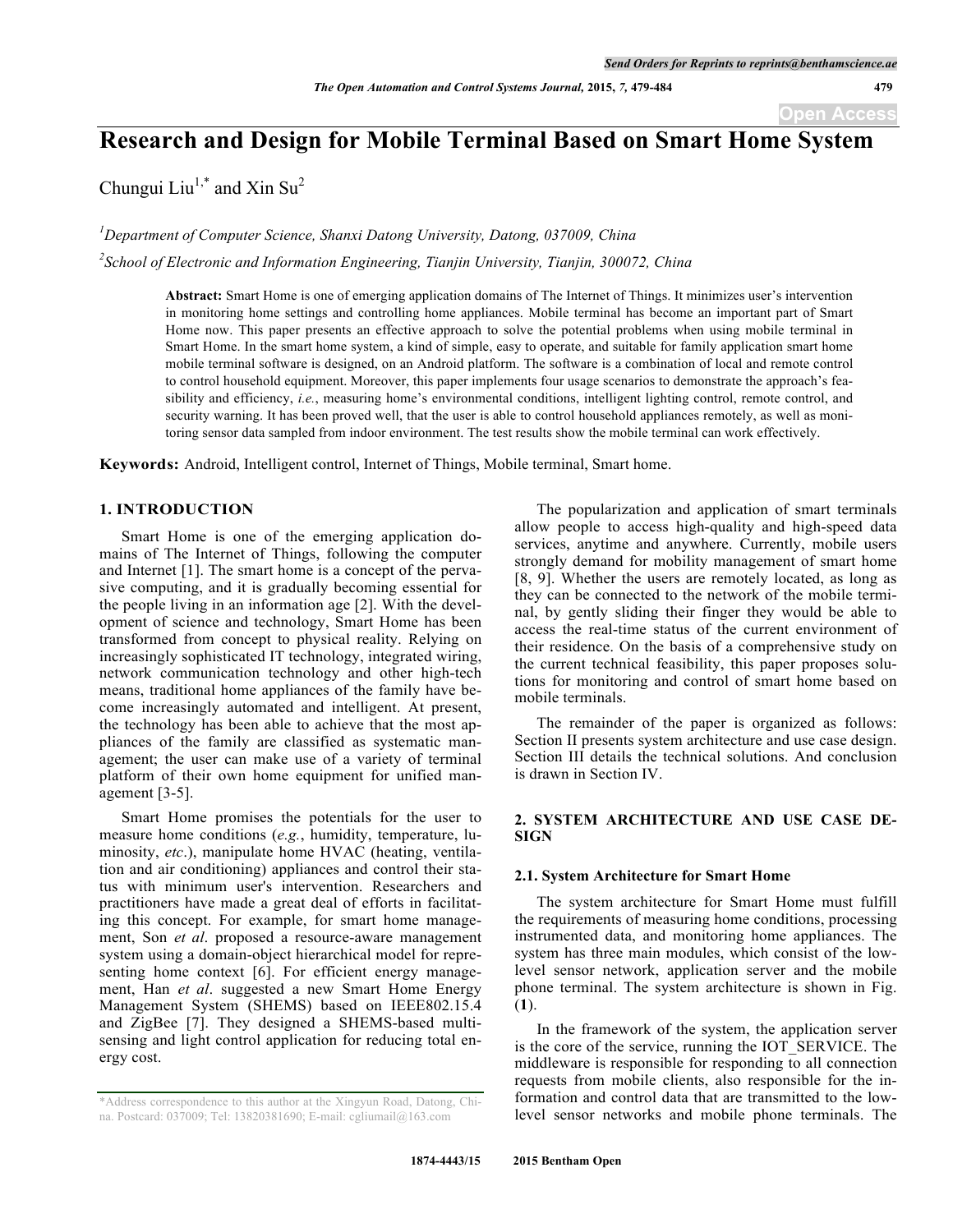# **Research and Design for Mobile Terminal Based on Smart Home System**

Chungui Liu<sup>1,\*</sup> and Xin Su<sup>2</sup>

*1 Department of Computer Science, Shanxi Datong University, Datong, 037009, China 2 School of Electronic and Information Engineering, Tianjin University, Tianjin, 300072, China*

> **Abstract:** Smart Home is one of emerging application domains of The Internet of Things. It minimizes user's intervention in monitoring home settings and controlling home appliances. Mobile terminal has become an important part of Smart Home now. This paper presents an effective approach to solve the potential problems when using mobile terminal in Smart Home. In the smart home system, a kind of simple, easy to operate, and suitable for family application smart home mobile terminal software is designed, on an Android platform. The software is a combination of local and remote control to control household equipment. Moreover, this paper implements four usage scenarios to demonstrate the approach's feasibility and efficiency, *i.e.*, measuring home's environmental conditions, intelligent lighting control, remote control, and security warning. It has been proved well, that the user is able to control household appliances remotely, as well as monitoring sensor data sampled from indoor environment. The test results show the mobile terminal can work effectively.

**Keywords:** Android, Intelligent control, Internet of Things, Mobile terminal, Smart home.

## **1. INTRODUCTION**

Smart Home is one of the emerging application domains of The Internet of Things, following the computer and Internet [1]. The smart home is a concept of the pervasive computing, and it is gradually becoming essential for the people living in an information age [2]. With the development of science and technology, Smart Home has been transformed from concept to physical reality. Relying on increasingly sophisticated IT technology, integrated wiring, network communication technology and other high-tech means, traditional home appliances of the family have become increasingly automated and intelligent. At present, the technology has been able to achieve that the most appliances of the family are classified as systematic management; the user can make use of a variety of terminal platform of their own home equipment for unified management [3-5].

Smart Home promises the potentials for the user to measure home conditions (*e.g.*, humidity, temperature, luminosity, *etc*.), manipulate home HVAC (heating, ventilation and air conditioning) appliances and control their status with minimum user's intervention. Researchers and practitioners have made a great deal of efforts in facilitating this concept. For example, for smart home management, Son *et al*. proposed a resource-aware management system using a domain-object hierarchical model for representing home context [6]. For efficient energy management, Han *et al*. suggested a new Smart Home Energy Management System (SHEMS) based on IEEE802.15.4 and ZigBee [7]. They designed a SHEMS-based multisensing and light control application for reducing total energy cost.

The popularization and application of smart terminals allow people to access high-quality and high-speed data services, anytime and anywhere. Currently, mobile users strongly demand for mobility management of smart home [8, 9]. Whether the users are remotely located, as long as they can be connected to the network of the mobile terminal, by gently sliding their finger they would be able to access the real-time status of the current environment of their residence. On the basis of a comprehensive study on the current technical feasibility, this paper proposes solutions for monitoring and control of smart home based on mobile terminals.

The remainder of the paper is organized as follows: Section II presents system architecture and use case design. Section III details the technical solutions. And conclusion is drawn in Section IV.

## **2. SYSTEM ARCHITECTURE AND USE CASE DE-SIGN**

## **2.1. System Architecture for Smart Home**

The system architecture for Smart Home must fulfill the requirements of measuring home conditions, processing instrumented data, and monitoring home appliances. The system has three main modules, which consist of the lowlevel sensor network, application server and the mobile phone terminal. The system architecture is shown in Fig. (**1**).

In the framework of the system, the application server is the core of the service, running the IOT\_SERVICE. The middleware is responsible for responding to all connection requests from mobile clients, also responsible for the information and control data that are transmitted to the lowlevel sensor networks and mobile phone terminals. The

<sup>\*</sup>Address correspondence to this author at the Xingyun Road, Datong, China. Postcard: 037009; Tel: 13820381690; E-mail: cgliumail@163.com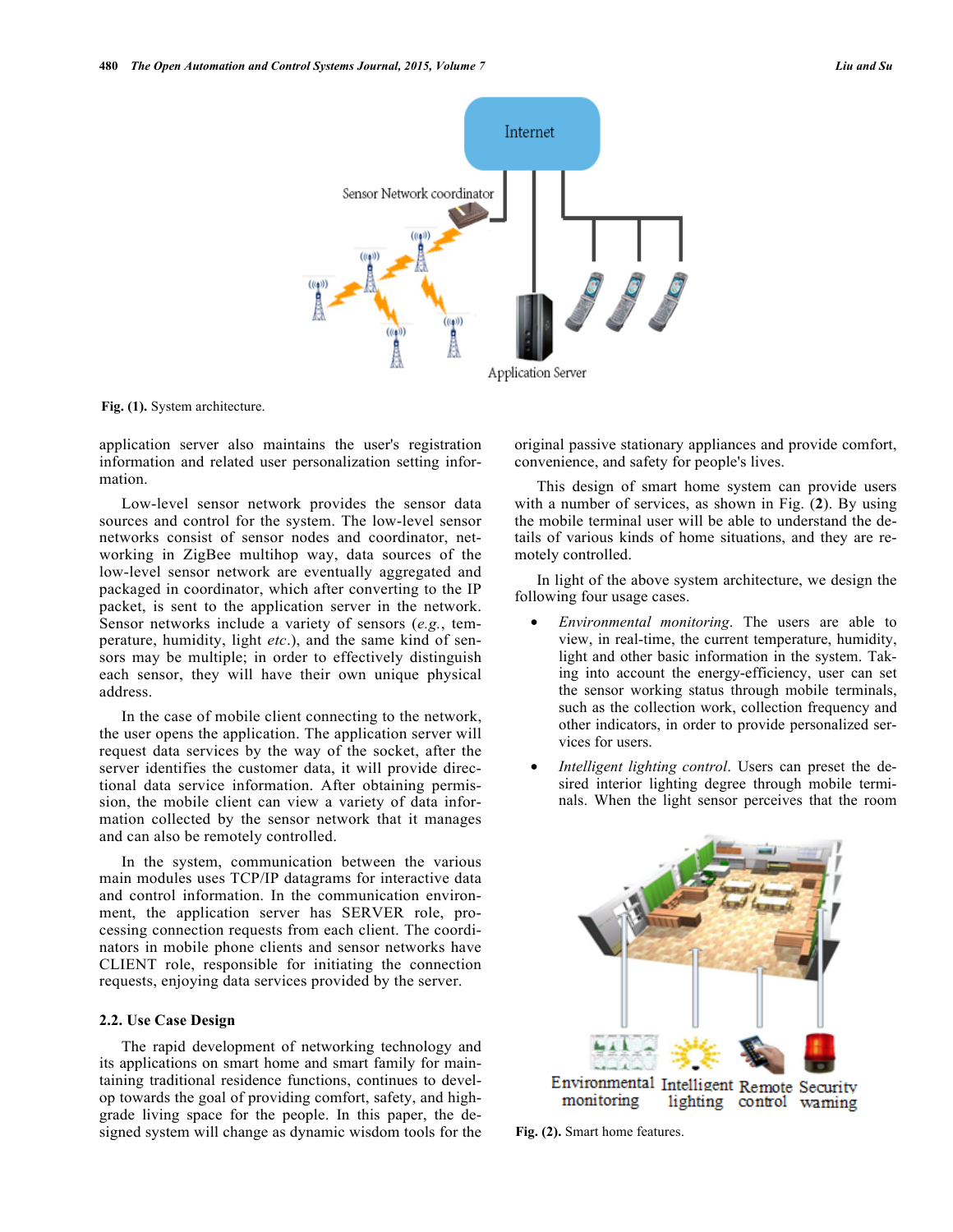

**Fig. (1).** System architecture.

application server also maintains the user's registration information and related user personalization setting information.

Low-level sensor network provides the sensor data sources and control for the system. The low-level sensor networks consist of sensor nodes and coordinator, networking in ZigBee multihop way, data sources of the low-level sensor network are eventually aggregated and packaged in coordinator, which after converting to the IP packet, is sent to the application server in the network. Sensor networks include a variety of sensors (*e.g.*, temperature, humidity, light *etc*.), and the same kind of sensors may be multiple; in order to effectively distinguish each sensor, they will have their own unique physical address.

In the case of mobile client connecting to the network, the user opens the application. The application server will request data services by the way of the socket, after the server identifies the customer data, it will provide directional data service information. After obtaining permission, the mobile client can view a variety of data information collected by the sensor network that it manages and can also be remotely controlled.

In the system, communication between the various main modules uses TCP/IP datagrams for interactive data and control information. In the communication environment, the application server has SERVER role, processing connection requests from each client. The coordinators in mobile phone clients and sensor networks have CLIENT role, responsible for initiating the connection requests, enjoying data services provided by the server.

## **2.2. Use Case Design**

The rapid development of networking technology and its applications on smart home and smart family for maintaining traditional residence functions, continues to develop towards the goal of providing comfort, safety, and highgrade living space for the people. In this paper, the designed system will change as dynamic wisdom tools for the original passive stationary appliances and provide comfort, convenience, and safety for people's lives.

This design of smart home system can provide users with a number of services, as shown in Fig. (**2**). By using the mobile terminal user will be able to understand the details of various kinds of home situations, and they are remotely controlled.

In light of the above system architecture, we design the following four usage cases.

- *Environmental monitoring*. The users are able to view, in real-time, the current temperature, humidity, light and other basic information in the system. Taking into account the energy-efficiency, user can set the sensor working status through mobile terminals, such as the collection work, collection frequency and other indicators, in order to provide personalized services for users.
- *Intelligent lighting control*. Users can preset the desired interior lighting degree through mobile terminals. When the light sensor perceives that the room



**Fig. (2).** Smart home features.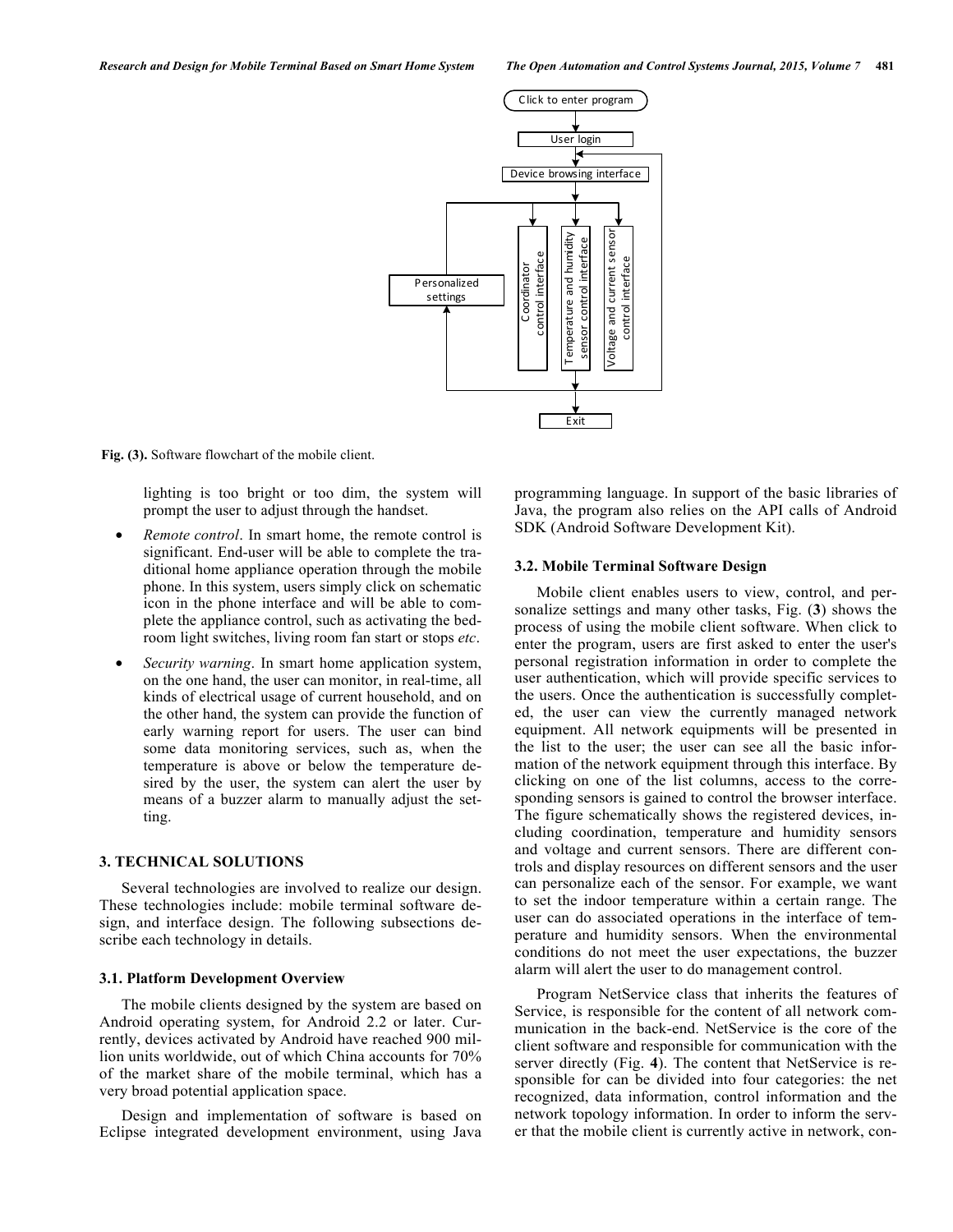

**Fig. (3).** Software flowchart of the mobile client.

lighting is too bright or too dim, the system will prompt the user to adjust through the handset.

- *Remote control*. In smart home, the remote control is significant. End-user will be able to complete the traditional home appliance operation through the mobile phone. In this system, users simply click on schematic icon in the phone interface and will be able to complete the appliance control, such as activating the bedroom light switches, living room fan start or stops *etc*.
- *Security warning*. In smart home application system, on the one hand, the user can monitor, in real-time, all kinds of electrical usage of current household, and on the other hand, the system can provide the function of early warning report for users. The user can bind some data monitoring services, such as, when the temperature is above or below the temperature desired by the user, the system can alert the user by means of a buzzer alarm to manually adjust the setting.

#### **3. TECHNICAL SOLUTIONS**

Several technologies are involved to realize our design. These technologies include: mobile terminal software design, and interface design. The following subsections describe each technology in details.

#### **3.1. Platform Development Overview**

The mobile clients designed by the system are based on Android operating system, for Android 2.2 or later. Currently, devices activated by Android have reached 900 million units worldwide, out of which China accounts for 70% of the market share of the mobile terminal, which has a very broad potential application space.

Design and implementation of software is based on Eclipse integrated development environment, using Java programming language. In support of the basic libraries of Java, the program also relies on the API calls of Android SDK (Android Software Development Kit).

## **3.2. Mobile Terminal Software Design**

Mobile client enables users to view, control, and personalize settings and many other tasks, Fig. (**3**) shows the process of using the mobile client software. When click to enter the program, users are first asked to enter the user's personal registration information in order to complete the user authentication, which will provide specific services to the users. Once the authentication is successfully completed, the user can view the currently managed network equipment. All network equipments will be presented in the list to the user; the user can see all the basic information of the network equipment through this interface. By clicking on one of the list columns, access to the corresponding sensors is gained to control the browser interface. The figure schematically shows the registered devices, including coordination, temperature and humidity sensors and voltage and current sensors. There are different controls and display resources on different sensors and the user can personalize each of the sensor. For example, we want to set the indoor temperature within a certain range. The user can do associated operations in the interface of temperature and humidity sensors. When the environmental conditions do not meet the user expectations, the buzzer alarm will alert the user to do management control.

Program NetService class that inherits the features of Service, is responsible for the content of all network communication in the back-end. NetService is the core of the client software and responsible for communication with the server directly (Fig. **4**). The content that NetService is responsible for can be divided into four categories: the net recognized, data information, control information and the network topology information. In order to inform the server that the mobile client is currently active in network, con-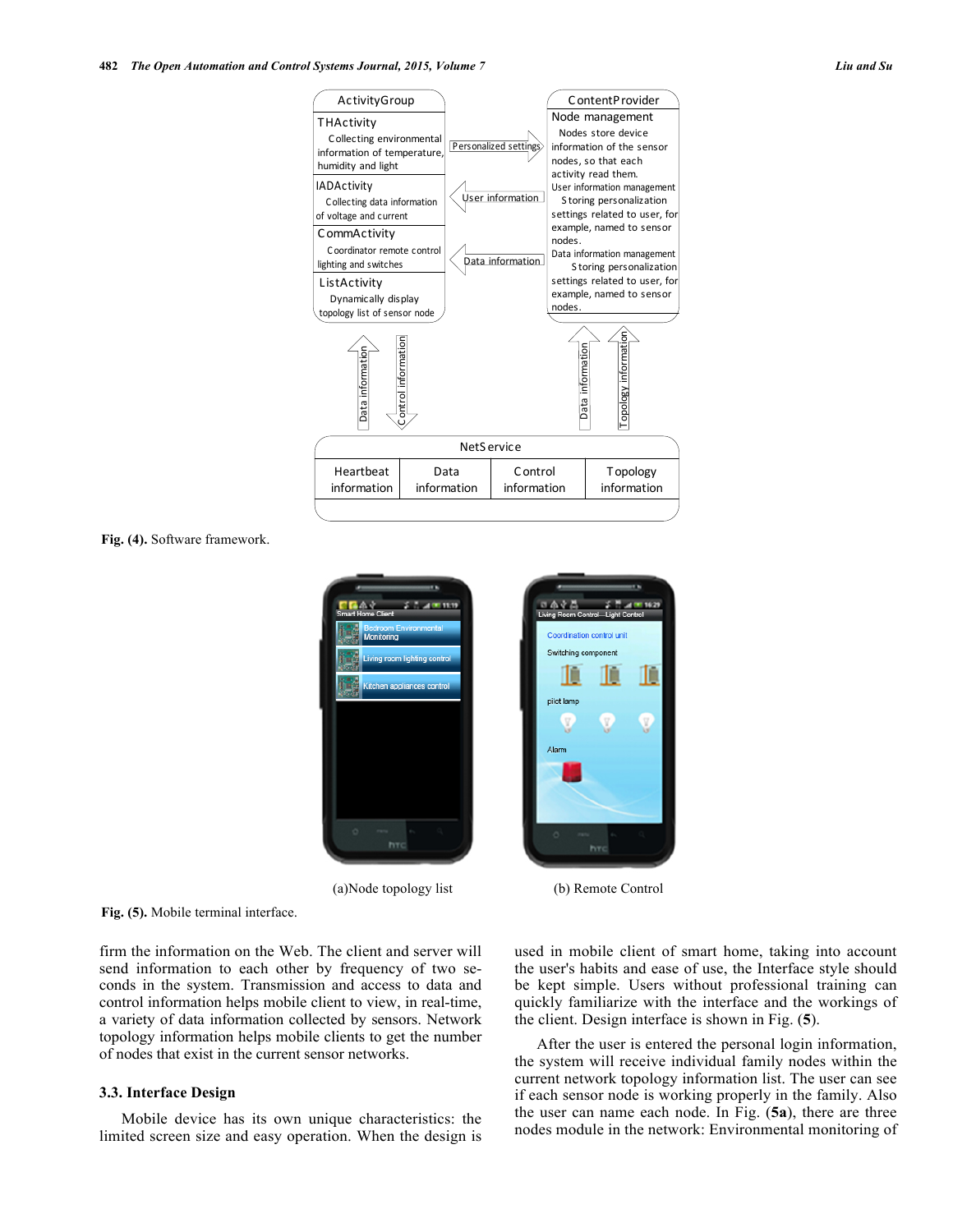

**Fig. (4).** Software framework.



(a)Node topology list (b) Remote Control

**Fig. (5).** Mobile terminal interface.

firm the information on the Web. The client and server will send information to each other by frequency of two seconds in the system. Transmission and access to data and control information helps mobile client to view, in real-time, a variety of data information collected by sensors. Network topology information helps mobile clients to get the number of nodes that exist in the current sensor networks.

## **3.3. Interface Design**

Mobile device has its own unique characteristics: the limited screen size and easy operation. When the design is used in mobile client of smart home, taking into account the user's habits and ease of use, the Interface style should be kept simple. Users without professional training can quickly familiarize with the interface and the workings of the client. Design interface is shown in Fig. (**5**).

After the user is entered the personal login information, the system will receive individual family nodes within the current network topology information list. The user can see if each sensor node is working properly in the family. Also the user can name each node. In Fig. (**5a**), there are three nodes module in the network: Environmental monitoring of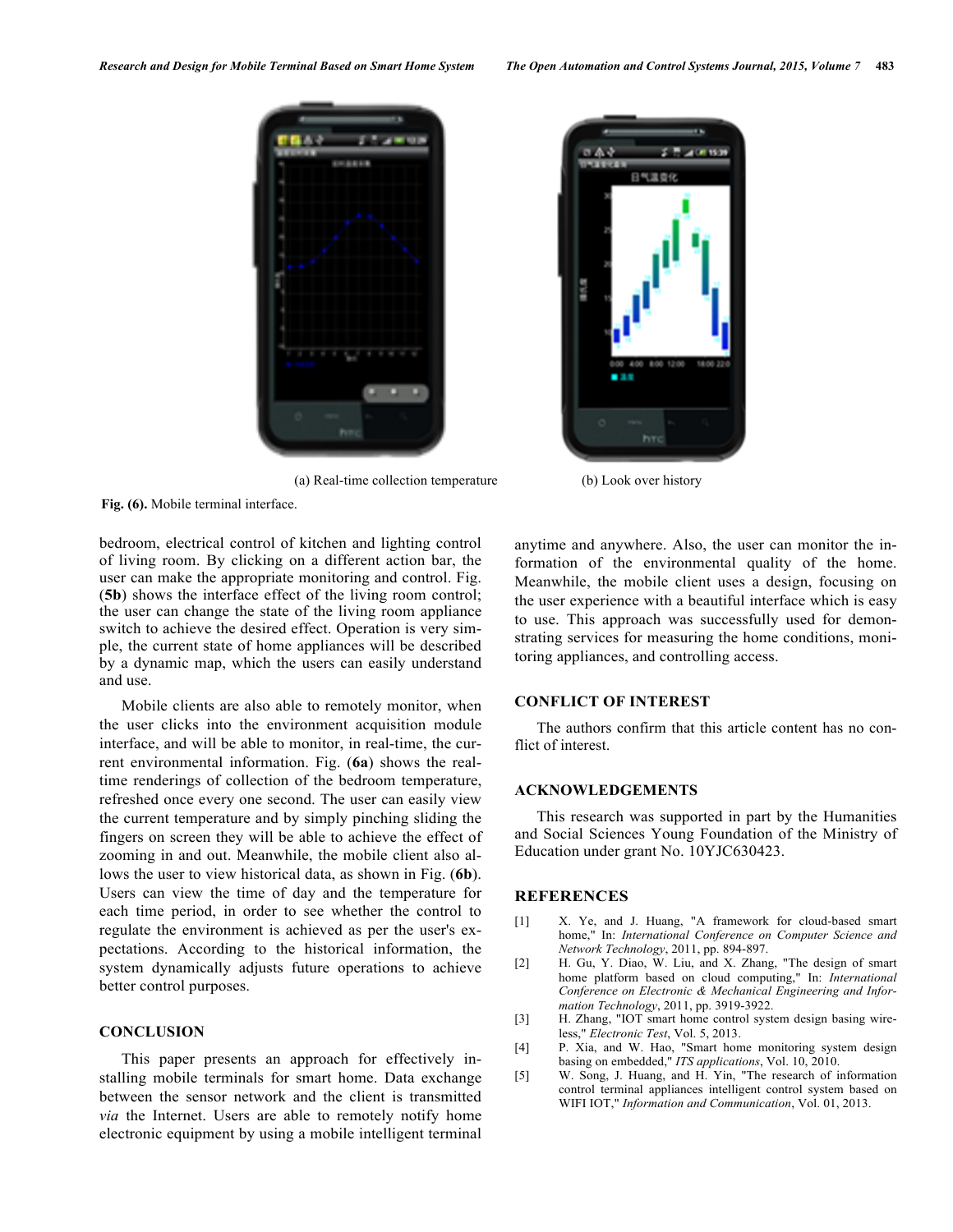



(a) Real-time collection temperature (b) Look over history

**Fig. (6).** Mobile terminal interface.

bedroom, electrical control of kitchen and lighting control of living room. By clicking on a different action bar, the user can make the appropriate monitoring and control. Fig. (**5b**) shows the interface effect of the living room control; the user can change the state of the living room appliance switch to achieve the desired effect. Operation is very simple, the current state of home appliances will be described by a dynamic map, which the users can easily understand and use.

Mobile clients are also able to remotely monitor, when the user clicks into the environment acquisition module interface, and will be able to monitor, in real-time, the current environmental information. Fig. (**6a**) shows the realtime renderings of collection of the bedroom temperature, refreshed once every one second. The user can easily view the current temperature and by simply pinching sliding the fingers on screen they will be able to achieve the effect of zooming in and out. Meanwhile, the mobile client also allows the user to view historical data, as shown in Fig. (**6b**). Users can view the time of day and the temperature for each time period, in order to see whether the control to regulate the environment is achieved as per the user's expectations. According to the historical information, the system dynamically adjusts future operations to achieve better control purposes.

## **CONCLUSION**

This paper presents an approach for effectively installing mobile terminals for smart home. Data exchange between the sensor network and the client is transmitted *via* the Internet. Users are able to remotely notify home electronic equipment by using a mobile intelligent terminal anytime and anywhere. Also, the user can monitor the information of the environmental quality of the home. Meanwhile, the mobile client uses a design, focusing on the user experience with a beautiful interface which is easy to use. This approach was successfully used for demonstrating services for measuring the home conditions, monitoring appliances, and controlling access.

## **CONFLICT OF INTEREST**

The authors confirm that this article content has no conflict of interest.

## **ACKNOWLEDGEMENTS**

This research was supported in part by the Humanities and Social Sciences Young Foundation of the Ministry of Education under grant No. 10YJC630423.

## **REFERENCES**

- [1] X. Ye, and J. Huang, "A framework for cloud-based smart home," In: *International Conference on Computer Science and Network Technology*, 2011, pp. 894-897.
- [2] H. Gu, Y. Diao, W. Liu, and X. Zhang, "The design of smart home platform based on cloud computing," In: *International Conference on Electronic & Mechanical Engineering and Information Technology*, 2011, pp. 3919-3922.
- [3] H. Zhang, "IOT smart home control system design basing wireless," *Electronic Test*, Vol. 5, 2013.
- [4] P. Xia, and W. Hao, "Smart home monitoring system design basing on embedded," *ITS applications*, Vol. 10, 2010.
- [5] W. Song, J. Huang, and H. Yin, "The research of information control terminal appliances intelligent control system based on WIFI IOT," *Information and Communication*, Vol. 01, 2013.